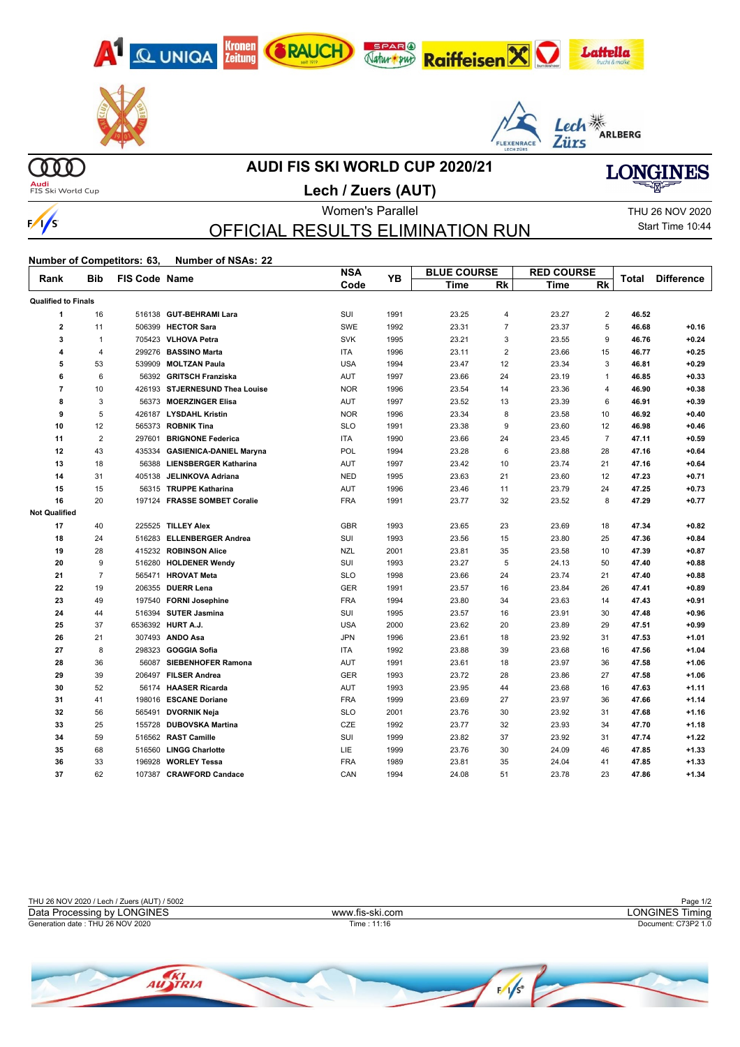





# **LONGINES**

Audi<br>FIS Ski World Cup

 $\infty$ 

## **AUDI FIS SKI WORLD CUP 2020/21**

**Lech / Zuers (AUT)**



## OFFICIAL RESULTS ELIMINATION RUN

Women's Parallel THU 26 NOV 2020 Start Time 10:44

┱

#### **Number of Competitors: 63, Number of NSAs: 22**

| Rank                       | <b>Bib</b>     | FIS Code Name |                                | <b>NSA</b> | <b>YB</b> |             | <b>BLUE COURSE</b> |             | <b>RED COURSE</b> |       | <b>Difference</b> |
|----------------------------|----------------|---------------|--------------------------------|------------|-----------|-------------|--------------------|-------------|-------------------|-------|-------------------|
|                            |                |               |                                | Code       |           | <b>Time</b> | Rk                 | <b>Time</b> | <b>Rk</b>         | Total |                   |
| <b>Qualified to Finals</b> |                |               |                                |            |           |             |                    |             |                   |       |                   |
| 1                          | 16             |               | 516138 GUT-BEHRAMI Lara        | SUI        | 1991      | 23.25       | $\overline{4}$     | 23.27       | 2                 | 46.52 |                   |
| $\overline{\mathbf{2}}$    | 11             |               | 506399 HECTOR Sara             | SWE        | 1992      | 23.31       | $\overline{7}$     | 23.37       | 5                 | 46.68 | $+0.16$           |
| 3                          | $\mathbf{1}$   |               | 705423 VLHOVA Petra            | <b>SVK</b> | 1995      | 23.21       | 3                  | 23.55       | 9                 | 46.76 | $+0.24$           |
| 4                          | 4              |               | 299276 BASSINO Marta           | <b>ITA</b> | 1996      | 23.11       | $\overline{2}$     | 23.66       | 15                | 46.77 | $+0.25$           |
| 5                          | 53             |               | 539909 MOLTZAN Paula           | <b>USA</b> | 1994      | 23.47       | 12                 | 23.34       | 3                 | 46.81 | $+0.29$           |
| 6                          | 6              |               | 56392 GRITSCH Franziska        | <b>AUT</b> | 1997      | 23.66       | 24                 | 23.19       | $\mathbf{1}$      | 46.85 | $+0.33$           |
| $\overline{7}$             | 10             |               | 426193 STJERNESUND Thea Louise | <b>NOR</b> | 1996      | 23.54       | 14                 | 23.36       | 4                 | 46.90 | $+0.38$           |
| 8                          | 3              |               | 56373 MOERZINGER Elisa         | AUT        | 1997      | 23.52       | 13                 | 23.39       | 6                 | 46.91 | $+0.39$           |
| 9                          | 5              |               | 426187 LYSDAHL Kristin         | <b>NOR</b> | 1996      | 23.34       | 8                  | 23.58       | 10                | 46.92 | $+0.40$           |
| 10                         | 12             |               | 565373 ROBNIK Tina             | <b>SLO</b> | 1991      | 23.38       | 9                  | 23.60       | 12                | 46.98 | $+0.46$           |
| 11                         | $\overline{2}$ |               | 297601 BRIGNONE Federica       | <b>ITA</b> | 1990      | 23.66       | 24                 | 23.45       | $\overline{7}$    | 47.11 | $+0.59$           |
| 12                         | 43             | 435334        | <b>GASIENICA-DANIEL Maryna</b> | POL        | 1994      | 23.28       | 6                  | 23.88       | 28                | 47.16 | $+0.64$           |
| 13                         | 18             |               | 56388 LIENSBERGER Katharina    | <b>AUT</b> | 1997      | 23.42       | 10                 | 23.74       | 21                | 47.16 | $+0.64$           |
| 14                         | 31             |               | 405138 JELINKOVA Adriana       | <b>NED</b> | 1995      | 23.63       | 21                 | 23.60       | 12                | 47.23 | $+0.71$           |
| 15                         | 15             |               | 56315 TRUPPE Katharina         | AUT        | 1996      | 23.46       | 11                 | 23.79       | 24                | 47.25 | $+0.73$           |
| 16                         | 20             |               | 197124 FRASSE SOMBET Coralie   | <b>FRA</b> | 1991      | 23.77       | 32                 | 23.52       | 8                 | 47.29 | $+0.77$           |
| <b>Not Qualified</b>       |                |               |                                |            |           |             |                    |             |                   |       |                   |
| 17                         | 40             |               | 225525 TILLEY Alex             | <b>GBR</b> | 1993      | 23.65       | 23                 | 23.69       | 18                | 47.34 | $+0.82$           |
| 18                         | 24             |               | 516283 ELLENBERGER Andrea      | SUI        | 1993      | 23.56       | 15                 | 23.80       | 25                | 47.36 | $+0.84$           |
| 19                         | 28             |               | 415232 ROBINSON Alice          | <b>NZL</b> | 2001      | 23.81       | 35                 | 23.58       | 10                | 47.39 | $+0.87$           |
| 20                         | 9              |               | 516280 HOLDENER Wendy          | SUI        | 1993      | 23.27       | 5                  | 24.13       | 50                | 47.40 | $+0.88$           |
| 21                         | $\overline{7}$ |               | 565471 HROVAT Meta             | <b>SLO</b> | 1998      | 23.66       | 24                 | 23.74       | 21                | 47.40 | $+0.88$           |
| 22                         | 19             |               | 206355 DUERR Lena              | <b>GER</b> | 1991      | 23.57       | 16                 | 23.84       | 26                | 47.41 | $+0.89$           |
| 23                         | 49             |               | 197540 FORNI Josephine         | <b>FRA</b> | 1994      | 23.80       | 34                 | 23.63       | 14                | 47.43 | $+0.91$           |
| 24                         | 44             |               | 516394 SUTER Jasmina           | SUI        | 1995      | 23.57       | 16                 | 23.91       | 30                | 47.48 | $+0.96$           |
| 25                         | 37             |               | 6536392 HURT A.J.              | <b>USA</b> | 2000      | 23.62       | 20                 | 23.89       | 29                | 47.51 | $+0.99$           |
| 26                         | 21             |               | 307493 ANDO Asa                | <b>JPN</b> | 1996      | 23.61       | 18                 | 23.92       | 31                | 47.53 | $+1.01$           |
| 27                         | 8              | 298323        | <b>GOGGIA Sofia</b>            | <b>ITA</b> | 1992      | 23.88       | 39                 | 23.68       | 16                | 47.56 | $+1.04$           |
| 28                         | 36             |               | 56087 SIEBENHOFER Ramona       | <b>AUT</b> | 1991      | 23.61       | 18                 | 23.97       | 36                | 47.58 | $+1.06$           |
| 29                         | 39             |               | 206497 FILSER Andrea           | <b>GER</b> | 1993      | 23.72       | 28                 | 23.86       | 27                | 47.58 | $+1.06$           |
| 30                         | 52             |               | 56174 HAASER Ricarda           | AUT        | 1993      | 23.95       | 44                 | 23.68       | 16                | 47.63 | $+1.11$           |
| 31                         | 41             |               | 198016 ESCANE Doriane          | <b>FRA</b> | 1999      | 23.69       | 27                 | 23.97       | 36                | 47.66 | $+1.14$           |
| 32                         | 56             | 565491        | <b>DVORNIK Neja</b>            | <b>SLO</b> | 2001      | 23.76       | 30                 | 23.92       | 31                | 47.68 | $+1.16$           |
| 33                         | 25             |               | 155728 DUBOVSKA Martina        | CZE        | 1992      | 23.77       | 32                 | 23.93       | 34                | 47.70 | $+1.18$           |
| 34                         | 59             |               | 516562 RAST Camille            | SUI        | 1999      | 23.82       | 37                 | 23.92       | 31                | 47.74 | $+1.22$           |
| 35                         | 68             |               | 516560 LINGG Charlotte         | <b>LIE</b> | 1999      | 23.76       | 30                 | 24.09       | 46                | 47.85 | $+1.33$           |
| 36                         | 33             | 196928        | <b>WORLEY Tessa</b>            | <b>FRA</b> | 1989      | 23.81       | 35                 | 24.04       | 41                | 47.85 | $+1.33$           |
| 37                         | 62             |               | 107387 CRAWFORD Candace        | CAN        | 1994      | 24.08       | 51                 | 23.78       | 23                | 47.86 | $+1.34$           |